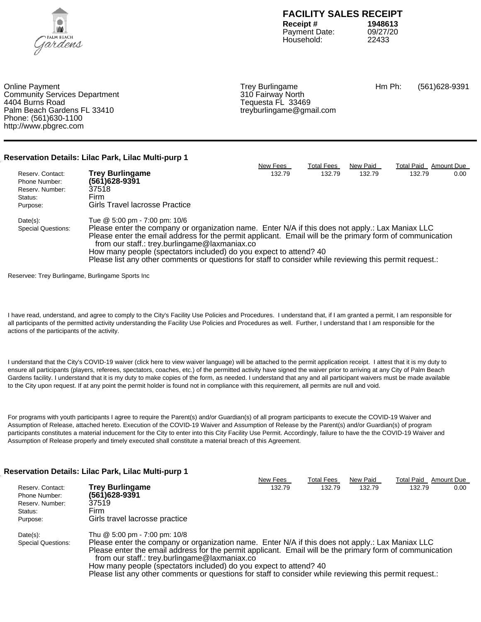

Payment Date: 09/27/<br>Household: 22433 Household:

Online Payment **Trey Burlingame** Trey Burlingame Hm Ph: (561)628-9391<br>Community Services Department **Community** Structure of the Structure of the Structure of Structure Community Services Community Services Department<br>4404 Burns Road Palm Beach Gardens FL 33410 Phone: (561)630-1100 http://www.pbgrec.com

Tequesta FL 33469<br>treyburlingame@gmail.com

**Reservation Details: Lilac Park, Lilac Multi-purp 1**

|                           |                                                                                                                                                           | New Fees | <b>Total Fees</b> | New Paid | <b>Total Paid</b> | Amount Due |  |
|---------------------------|-----------------------------------------------------------------------------------------------------------------------------------------------------------|----------|-------------------|----------|-------------------|------------|--|
| Reserv. Contact:          | <b>Trey Burlingame</b>                                                                                                                                    | 132.79   | 132.79            | 132.79   | 132.79            | 0.00       |  |
| Phone Number:             | (561)628-9391                                                                                                                                             |          |                   |          |                   |            |  |
| Reserv. Number:           | 37518                                                                                                                                                     |          |                   |          |                   |            |  |
| Status:                   | Firm                                                                                                                                                      |          |                   |          |                   |            |  |
| Purpose:                  | Girls Travel lacrosse Practice                                                                                                                            |          |                   |          |                   |            |  |
| $Date(s)$ :               | Tue @ 5:00 pm - 7:00 pm: 10/6                                                                                                                             |          |                   |          |                   |            |  |
| <b>Special Questions:</b> | Please enter the company or organization name. Enter N/A if this does not apply.: Lax Maniax LLC                                                          |          |                   |          |                   |            |  |
|                           | Please enter the email address for the permit applicant. Email will be the primary form of communication<br>from our staff.: trey.burlingame@laxmaniax.co |          |                   |          |                   |            |  |
|                           | How many people (spectators included) do you expect to attend? 40                                                                                         |          |                   |          |                   |            |  |
|                           | Please list any other comments or questions for staff to consider while reviewing this permit request.:                                                   |          |                   |          |                   |            |  |
|                           |                                                                                                                                                           |          |                   |          |                   |            |  |

Reservee: Trey Burlingame, Burlingame Sports Inc

I have read, understand, and agree to comply to the City's Facility Use Policies and Procedures. I understand that, if I am granted a permit, I am responsible for all participants of the permitted activity understanding the Facility Use Policies and Procedures as well. Further, I understand that I am responsible for the actions of the participants of the activity.

I understand that the City's COVID-19 waiver (click here to view waiver language) will be attached to the permit application receipt. I attest that it is my duty to ensure all participants (players, referees, spectators, coaches, etc.) of the permitted activity have signed the waiver prior to arriving at any City of Palm Beach Gardens facility. I understand that it is my duty to make copies of the form, as needed. I understand that any and all participant waivers must be made available to the City upon request. If at any point the permit holder is found not in compliance with this requirement, all permits are null and void.

For programs with youth participants I agree to require the Parent(s) and/or Guardian(s) of all program participants to execute the COVID-19 Waiver and Assumption of Release, attached hereto. Execution of the COVID-19 Waiver and Assumption of Release by the Parent(s) and/or Guardian(s) of program participants constitutes a material inducement for the City to enter into this City Facility Use Permit. Accordingly, failure to have the the COVID-19 Waiver and Assumption of Release properly and timely executed shall constitute a material breach of this Agreement.

### **Reservation Details: Lilac Park, Lilac Multi-purp 1**

|                           |                                                                                                          | New Fees | <b>Total Fees</b> | New Paid | Total Paid | Amount Due |
|---------------------------|----------------------------------------------------------------------------------------------------------|----------|-------------------|----------|------------|------------|
| Reserv. Contact:          | <b>Trey Burlingame</b>                                                                                   | 132.79   | 132.79            | 132.79   | 132.79     | 0.00       |
| Phone Number:             | (561)628-9391                                                                                            |          |                   |          |            |            |
| Reserv. Number:           | 37519                                                                                                    |          |                   |          |            |            |
| Status:                   | Firm                                                                                                     |          |                   |          |            |            |
| Purpose:                  | Girls travel lacrosse practice                                                                           |          |                   |          |            |            |
| $Date(s)$ :               | Thu @ 5:00 pm - 7:00 pm: 10/8                                                                            |          |                   |          |            |            |
| <b>Special Questions:</b> | Please enter the company or organization name. Enter N/A if this does not apply.: Lax Maniax LLC         |          |                   |          |            |            |
|                           | Please enter the email address for the permit applicant. Email will be the primary form of communication |          |                   |          |            |            |
|                           | from our staff.: trey.burlingame@laxmaniax.co                                                            |          |                   |          |            |            |
|                           | How many people (spectators included) do you expect to attend? 40                                        |          |                   |          |            |            |
|                           | Please list any other comments or questions for staff to consider while reviewing this permit request.:  |          |                   |          |            |            |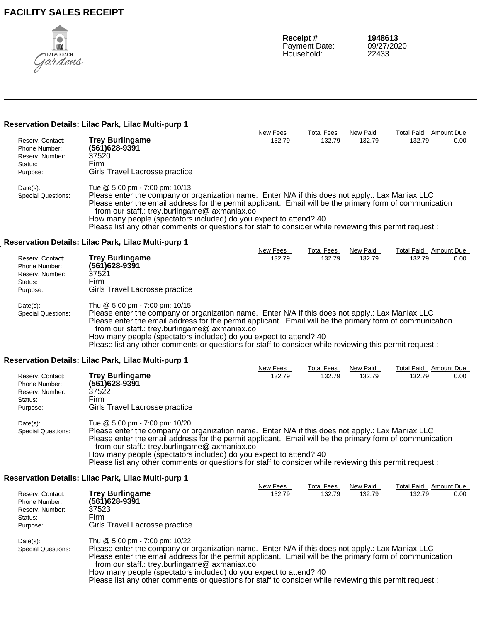

**Receipt # 1948613**<br> **Payment Date:** 09/27/2020 Payment Date: 09/27/2<br>Household: 22433 Household:

New Fees Total Fees New Paid Total Paid Amount Due

#### **Reservation Details: Lilac Park, Lilac Multi-purp 1**

| Reserv. Contact:          | <b>Trey Burlingame</b>                                                                                   | 132.79 | 132.79 | 132.79 | 132.79 | 0.00 |  |  |
|---------------------------|----------------------------------------------------------------------------------------------------------|--------|--------|--------|--------|------|--|--|
| Phone Number:             | (561) 628-9391                                                                                           |        |        |        |        |      |  |  |
| Reserv. Number:           | 37520                                                                                                    |        |        |        |        |      |  |  |
| Status:                   | Firm                                                                                                     |        |        |        |        |      |  |  |
| Purpose:                  | Girls Travel Lacrosse practice                                                                           |        |        |        |        |      |  |  |
| $Date(s)$ :               | Tue @ 5:00 pm - 7:00 pm: 10/13                                                                           |        |        |        |        |      |  |  |
| <b>Special Questions:</b> | Please enter the company or organization name. Enter N/A if this does not apply.: Lax Maniax LLC         |        |        |        |        |      |  |  |
|                           | Please enter the email address for the permit applicant. Email will be the primary form of communication |        |        |        |        |      |  |  |
|                           | from our staff.: trey.burlingame@laxmaniax.co                                                            |        |        |        |        |      |  |  |
|                           | How many people (spectators included) do you expect to attend? 40                                        |        |        |        |        |      |  |  |
|                           | Please list any other comments or questions for staff to consider while reviewing this permit request.:  |        |        |        |        |      |  |  |

### **Reservation Details: Lilac Park, Lilac Multi-purp 1**

|                                                                                                                                                           |                                                                                                  | New Fees | Total Fees | New Paid | Total Paid | Amount Due |
|-----------------------------------------------------------------------------------------------------------------------------------------------------------|--------------------------------------------------------------------------------------------------|----------|------------|----------|------------|------------|
| Reserv. Contact:                                                                                                                                          | <b>Trey Burlingame</b>                                                                           | 132.79   | 132.79     | 132.79   | 132.79     | 0.00       |
| Phone Number:                                                                                                                                             | (561) 628-9391                                                                                   |          |            |          |            |            |
| Reserv. Number:                                                                                                                                           | 37521                                                                                            |          |            |          |            |            |
| Status:                                                                                                                                                   | Firm                                                                                             |          |            |          |            |            |
| Purpose:                                                                                                                                                  | Girls Travel Lacrosse practice                                                                   |          |            |          |            |            |
| $Date(s)$ :                                                                                                                                               | Thu @ 5:00 pm - 7:00 pm: 10/15                                                                   |          |            |          |            |            |
| <b>Special Questions:</b>                                                                                                                                 | Please enter the company or organization name. Enter N/A if this does not apply.: Lax Maniax LLC |          |            |          |            |            |
| Please enter the email address for the permit applicant. Email will be the primary form of communication<br>from our staff.: trey.burlingame@laxmaniax.co |                                                                                                  |          |            |          |            |            |
|                                                                                                                                                           | How many people (spectators included) do you expect to attend? 40                                |          |            |          |            |            |

Please list any other comments or questions for staff to consider while reviewing this permit request.:

### **Reservation Details: Lilac Park, Lilac Multi-purp 1**

|                           |                                                                                                                                                                                                              | New Fees | Total Fees | New Paid | <b>Total Paid</b> | Amount Due |
|---------------------------|--------------------------------------------------------------------------------------------------------------------------------------------------------------------------------------------------------------|----------|------------|----------|-------------------|------------|
| Reserv. Contact:          | <b>Trey Burlingame</b>                                                                                                                                                                                       | 132.79   | 132.79     | 132.79   | 132.79            | $0.00\,$   |
| Phone Number:             | (561)628-9391                                                                                                                                                                                                |          |            |          |                   |            |
| Reserv. Number:           | 37522                                                                                                                                                                                                        |          |            |          |                   |            |
| Status:                   | Firm                                                                                                                                                                                                         |          |            |          |                   |            |
| Purpose:                  | Girls Travel Lacrosse practice                                                                                                                                                                               |          |            |          |                   |            |
| $Date(s)$ :               | Tue @ 5:00 pm - 7:00 pm: 10/20                                                                                                                                                                               |          |            |          |                   |            |
| <b>Special Questions:</b> | Please enter the company or organization name. Enter N/A if this does not apply.: Lax Maniax LLC<br>Please enter the email address for the permit applicant. Email will be the primary form of communication |          |            |          |                   |            |

e the primary form of communication from our staff.: trey.burlingame@laxmaniax.co How many people (spectators included) do you expect to attend? 40

Please list any other comments or questions for staff to consider while reviewing this permit request.:

### **Reservation Details: Lilac Park, Lilac Multi-purp 1**

|                           |                                                                                                                                                           | New Fees | Total Fees | New Paid | Total Paid | Amount Due |  |
|---------------------------|-----------------------------------------------------------------------------------------------------------------------------------------------------------|----------|------------|----------|------------|------------|--|
| Reserv. Contact:          | <b>Trey Burlingame</b>                                                                                                                                    | 132.79   | 132.79     | 132.79   | 132.79     | 0.00       |  |
| Phone Number:             | (561)628-9391                                                                                                                                             |          |            |          |            |            |  |
| Reserv. Number:           | 37523                                                                                                                                                     |          |            |          |            |            |  |
| Status:                   | Firm                                                                                                                                                      |          |            |          |            |            |  |
| Purpose:                  | Girls Travel Lacrosse practice                                                                                                                            |          |            |          |            |            |  |
| $Date(s)$ :               | Thu $@$ 5:00 pm - 7:00 pm: 10/22                                                                                                                          |          |            |          |            |            |  |
| <b>Special Questions:</b> | Please enter the company or organization name. Enter N/A if this does not apply.: Lax Maniax LLC                                                          |          |            |          |            |            |  |
|                           | Please enter the email address for the permit applicant. Email will be the primary form of communication<br>from our staff.: trey.burlingame@laxmaniax.co |          |            |          |            |            |  |
|                           |                                                                                                                                                           |          |            |          |            |            |  |
|                           | How many people (spectators included) do you expect to attend? 40                                                                                         |          |            |          |            |            |  |
|                           | Please list any other comments or questions for staff to consider while reviewing this permit request.:                                                   |          |            |          |            |            |  |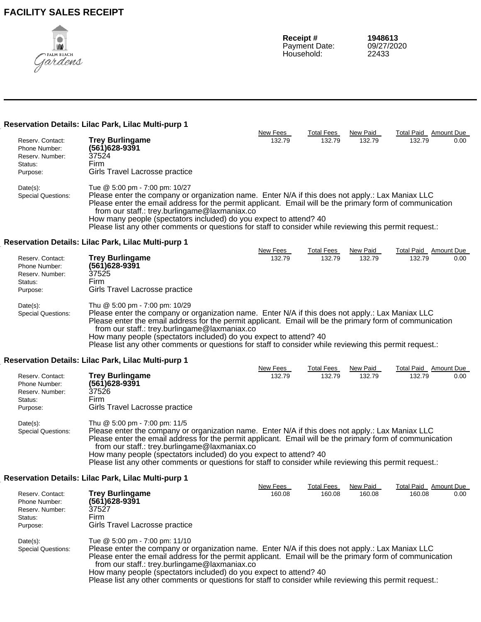

### **Reservation Details: Lilac Park, Lilac Multi-purp 1**

|                                                                                         |                                                                                                                                                                                                                                                                                                                                                                                                                                                                                 | New Fees           | <b>Total Fees</b>           | New Paid           | Total Paid Amount Due                  |      |
|-----------------------------------------------------------------------------------------|---------------------------------------------------------------------------------------------------------------------------------------------------------------------------------------------------------------------------------------------------------------------------------------------------------------------------------------------------------------------------------------------------------------------------------------------------------------------------------|--------------------|-----------------------------|--------------------|----------------------------------------|------|
| Reserv. Contact:<br>Phone Number:<br>Reserv. Number:<br>Status:<br>Purpose:             | <b>Trey Burlingame</b><br>$(561)628 - 9391$<br>37524<br>Firm<br>Girls Travel Lacrosse practice                                                                                                                                                                                                                                                                                                                                                                                  | 132.79             | 132.79                      | 132.79             | 132.79                                 | 0.00 |
| Date(s):<br><b>Special Questions:</b>                                                   | Tue @ 5:00 pm - 7:00 pm: 10/27<br>Please enter the company or organization name. Enter N/A if this does not apply.: Lax Maniax LLC<br>Please enter the email address for the permit applicant. Email will be the primary form of communication<br>from our staff.: trey.burlingame@laxmaniax.co<br>How many people (spectators included) do you expect to attend? 40<br>Please list any other comments or questions for staff to consider while reviewing this permit request.: |                    |                             |                    |                                        |      |
|                                                                                         | Reservation Details: Lilac Park, Lilac Multi-purp 1                                                                                                                                                                                                                                                                                                                                                                                                                             |                    |                             |                    |                                        |      |
| Reserv. Contact:<br>Phone Number:<br>Reserv. Number:<br>Status:<br>Purpose:<br>Date(s): | <b>Trey Burlingame</b><br>(561)628-9391<br>37525<br>Firm<br>Girls Travel Lacrosse practice<br>Thu @ 5:00 pm - 7:00 pm: 10/29                                                                                                                                                                                                                                                                                                                                                    | New Fees<br>132.79 | <b>Total Fees</b><br>132.79 | New Paid<br>132.79 | <b>Total Paid</b> Amount Due<br>132.79 | 0.00 |
| <b>Special Questions:</b>                                                               | Please enter the company or organization name. Enter N/A if this does not apply.: Lax Maniax LLC<br>Please enter the email address for the permit applicant. Email will be the primary form of communication<br>from our staff.: trey.burlingame@laxmaniax.co<br>How many people (spectators included) do you expect to attend? 40<br>Please list any other comments or questions for staff to consider while reviewing this permit request.:                                   |                    |                             |                    |                                        |      |
|                                                                                         | Reservation Details: Lilac Park, Lilac Multi-purp 1                                                                                                                                                                                                                                                                                                                                                                                                                             |                    |                             |                    |                                        |      |
| Reserv. Contact:<br>Phone Number:<br>Reserv. Number:<br>Status:<br>Purpose:             | <b>Trey Burlingame</b><br>(561)628-9391<br>37526<br>Firm<br>Girls Travel Lacrosse practice                                                                                                                                                                                                                                                                                                                                                                                      | New Fees<br>132.79 | <b>Total Fees</b><br>132.79 | New Paid<br>132.79 | Total Paid Amount Due<br>132.79        | 0.00 |

Date(s): Thu @ 5:00 pm - 7:00 pm: 11/5 Special Questions: Please enter the company or organization name. Enter N/A if this does not apply.: Lax Maniax LLC Please enter the email address for the permit applicant. Email will be the primary form of communication from our staff.: trey.burlingame@laxmaniax.co How many people (spectators included) do you expect to attend? 40

Please list any other comments or questions for staff to consider while reviewing this permit request.:

### **Reservation Details: Lilac Park, Lilac Multi-purp 1**

|                           |                                                                                                          | New Fees | Total Fees | New Paid | <b>Total Paid</b> | Amount Due |
|---------------------------|----------------------------------------------------------------------------------------------------------|----------|------------|----------|-------------------|------------|
| Reserv. Contact:          | <b>Trey Burlingame</b>                                                                                   | 160.08   | 160.08     | 160.08   | 160.08            | 0.00       |
| Phone Number:             | (561)628-9391                                                                                            |          |            |          |                   |            |
| Reserv. Number:           | 37527                                                                                                    |          |            |          |                   |            |
| Status:                   | Firm                                                                                                     |          |            |          |                   |            |
| Purpose:                  | Girls Travel Lacrosse practice                                                                           |          |            |          |                   |            |
| $Date(s)$ :               | Tue @ 5:00 pm - 7:00 pm: 11/10                                                                           |          |            |          |                   |            |
| <b>Special Questions:</b> | Please enter the company or organization name. Enter N/A if this does not apply.: Lax Maniax LLC         |          |            |          |                   |            |
|                           | Please enter the email address for the permit applicant. Email will be the primary form of communication |          |            |          |                   |            |
|                           | from our staff.: trey.burlingame@laxmaniax.co                                                            |          |            |          |                   |            |
|                           | How many people (spectators included) do you expect to attend? 40                                        |          |            |          |                   |            |
|                           | Please list any other comments or questions for staff to consider while reviewing this permit request.:  |          |            |          |                   |            |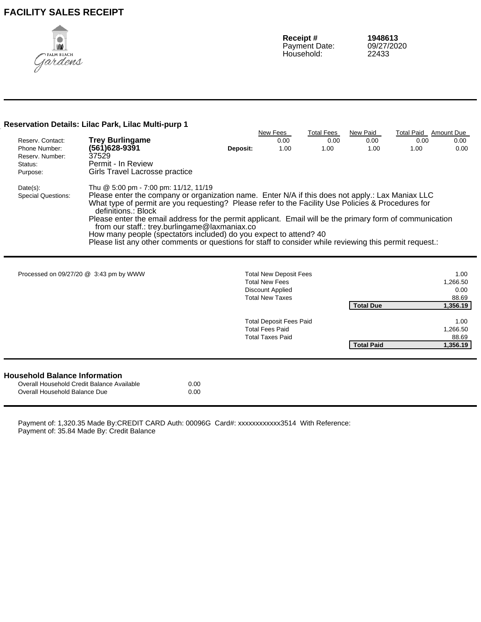

### **Reservation Details: Lilac Park, Lilac Multi-purp 1**

|                                          |                                                                                                                                                                                                                                                                                                                                                                                                                                                                                                                                                                                                                     |          | New Fees                       | <b>Total Fees</b> | New Paid          | <b>Total Paid</b> | <b>Amount Due</b> |
|------------------------------------------|---------------------------------------------------------------------------------------------------------------------------------------------------------------------------------------------------------------------------------------------------------------------------------------------------------------------------------------------------------------------------------------------------------------------------------------------------------------------------------------------------------------------------------------------------------------------------------------------------------------------|----------|--------------------------------|-------------------|-------------------|-------------------|-------------------|
| Reserv. Contact:                         | <b>Trey Burlingame</b>                                                                                                                                                                                                                                                                                                                                                                                                                                                                                                                                                                                              |          | 0.00                           | 0.00              | 0.00              | 0.00              | 0.00              |
| Phone Number:                            | (561)628-9391                                                                                                                                                                                                                                                                                                                                                                                                                                                                                                                                                                                                       | Deposit: | 1.00                           | 1.00              | 1.00              | 1.00              | 0.00              |
| Reserv. Number:                          | 37529                                                                                                                                                                                                                                                                                                                                                                                                                                                                                                                                                                                                               |          |                                |                   |                   |                   |                   |
| Status:                                  | Permit - In Review                                                                                                                                                                                                                                                                                                                                                                                                                                                                                                                                                                                                  |          |                                |                   |                   |                   |                   |
| Purpose:                                 | Girls Travel Lacrosse practice                                                                                                                                                                                                                                                                                                                                                                                                                                                                                                                                                                                      |          |                                |                   |                   |                   |                   |
| $Date(s)$ :<br><b>Special Questions:</b> | Thu @ 5:00 pm - 7:00 pm: 11/12, 11/19<br>Please enter the company or organization name. Enter N/A if this does not apply.: Lax Maniax LLC<br>What type of permit are you requesting? Please refer to the Facility Use Policies & Procedures for<br>definitions.: Block<br>Please enter the email address for the permit applicant. Email will be the primary form of communication<br>from our staff.: trey.burlingame@laxmaniax.co<br>How many people (spectators included) do you expect to attend? 40<br>Please list any other comments or questions for staff to consider while reviewing this permit request.: |          |                                |                   |                   |                   |                   |
|                                          | Processed on 09/27/20 @ 3:43 pm by WWW                                                                                                                                                                                                                                                                                                                                                                                                                                                                                                                                                                              |          | <b>Total New Deposit Fees</b>  |                   |                   |                   | 1.00              |
|                                          |                                                                                                                                                                                                                                                                                                                                                                                                                                                                                                                                                                                                                     |          | <b>Total New Fees</b>          |                   |                   |                   | 1,266.50          |
|                                          |                                                                                                                                                                                                                                                                                                                                                                                                                                                                                                                                                                                                                     |          | Discount Applied               |                   |                   |                   | 0.00              |
|                                          |                                                                                                                                                                                                                                                                                                                                                                                                                                                                                                                                                                                                                     |          | <b>Total New Taxes</b>         |                   |                   |                   | 88.69             |
|                                          |                                                                                                                                                                                                                                                                                                                                                                                                                                                                                                                                                                                                                     |          |                                |                   | <b>Total Due</b>  |                   | 1,356.19          |
|                                          |                                                                                                                                                                                                                                                                                                                                                                                                                                                                                                                                                                                                                     |          | <b>Total Deposit Fees Paid</b> |                   |                   |                   | 1.00              |
|                                          |                                                                                                                                                                                                                                                                                                                                                                                                                                                                                                                                                                                                                     |          | <b>Total Fees Paid</b>         |                   |                   |                   | 1,266.50          |
|                                          |                                                                                                                                                                                                                                                                                                                                                                                                                                                                                                                                                                                                                     |          | <b>Total Taxes Paid</b>        |                   |                   |                   | 88.69             |
|                                          |                                                                                                                                                                                                                                                                                                                                                                                                                                                                                                                                                                                                                     |          |                                |                   | <b>Total Paid</b> |                   | 1,356.19          |

|  | <b>Household Balance Information</b> |
|--|--------------------------------------|
|  |                                      |

 $\blacksquare$ 

| Overall Household Credit Balance Available | 0.00 |
|--------------------------------------------|------|
| Overall Household Balance Due              | 0.00 |

Payment of: 1,320.35 Made By:CREDIT CARD Auth: 00096G Card#: xxxxxxxxxxxx3514 With Reference: Payment of: 35.84 Made By: Credit Balance